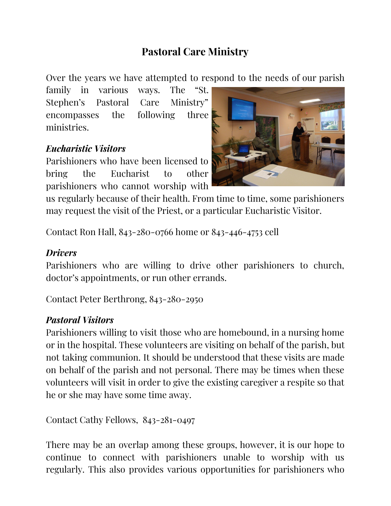## **Pastoral Care Ministry**

Over the years we have attempted to respond to the needs of our parish

family in various ways. The "St. Stephen's Pastoral Care Ministry" encompasses the following three ministries.

## *Eucharistic Visitors*

Parishioners who have been licensed to bring the Eucharist to other parishioners who cannot worship with



us regularly because of their health. From time to time, some parishioners may request the visit of the Priest, or a particular Eucharistic Visitor.

Contact Ron Hall, 843-280-0766 home or 843-446-4753 cell

## *Drivers*

Parishioners who are willing to drive other parishioners to church, doctor's appointments, or run other errands.

Contact Peter Berthrong, 843-280-2950

## *Pastoral Visitors*

Parishioners willing to visit those who are homebound, in a nursing home or in the hospital. These volunteers are visiting on behalf of the parish, but not taking communion. It should be understood that these visits are made on behalf of the parish and not personal. There may be times when these volunteers will visit in order to give the existing caregiver a respite so that he or she may have some time away.

Contact Cathy Fellows, 843-281-0497

There may be an overlap among these groups, however, it is our hope to continue to connect with parishioners unable to worship with us regularly. This also provides various opportunities for parishioners who